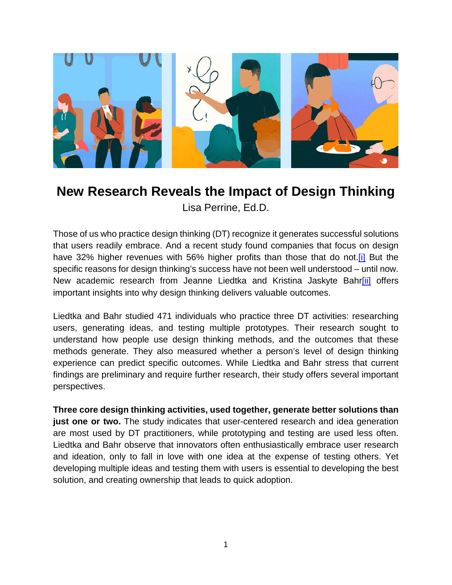

## **New Research Reveals the Impact of Design Thinking**

Lisa Perrine, Ed.D.

Those of us who practice design thinking (DT) recognize it generates successful solutions that users readily embrace. And a recent study found companies that focus on design have 32% higher revenues with 56% higher profits than those that do not.<sup>[i]</sup> But the specific reasons for design thinking's success have not been well understood – until now. New academic research from Jeanne Liedtka and Kristina Jaskyte Bahr<sup>[ii]</sup> offers important insights into why design thinking delivers valuable outcomes.

Liedtka and Bahr studied 471 individuals who practice three DT activities: researching users, generating ideas, and testing multiple prototypes. Their research sought to understand how people use design thinking methods, and the outcomes that these methods generate. They also measured whether a person's level of design thinking experience can predict specific outcomes. While Liedtka and Bahr stress that current findings are preliminary and require further research, their study offers several important perspectives.

<span id="page-0-0"></span>**Three core design thinking activities, used together, generate better solutions than just one or two.** The study indicates that user-centered research and idea generation are most used by DT practitioners, while prototyping and testing are used less often. Liedtka and Bahr observe that innovators often enthusiastically embrace user research and ideation, only to fall in love with one idea at the expense of testing others. Yet developing multiple ideas and testing them with users is essential to developing the best solution, and creating ownership that leads to quick adoption.